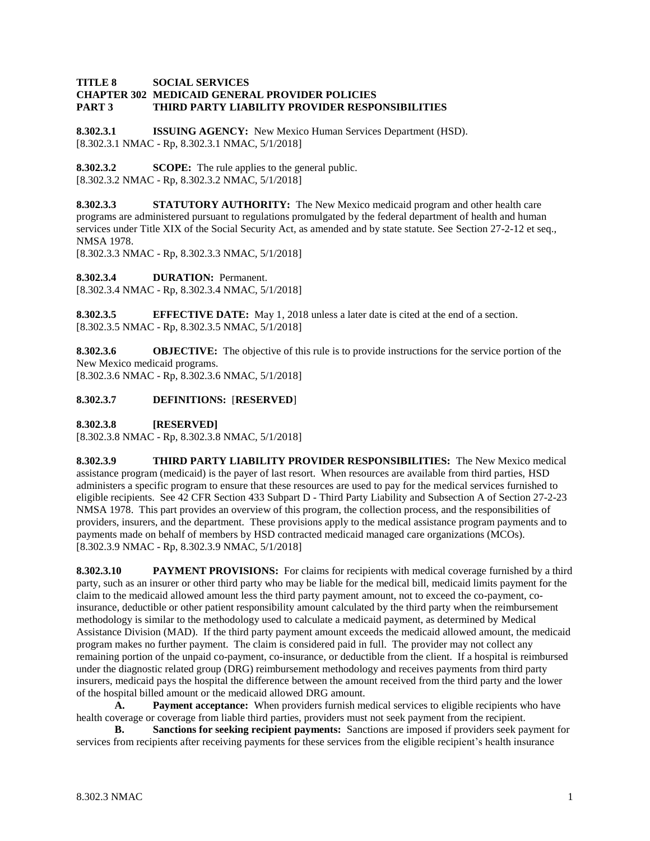#### **TITLE 8 SOCIAL SERVICES CHAPTER 302 MEDICAID GENERAL PROVIDER POLICIES PART 3 THIRD PARTY LIABILITY PROVIDER RESPONSIBILITIES**

**8.302.3.1 ISSUING AGENCY:** New Mexico Human Services Department (HSD). [8.302.3.1 NMAC - Rp, 8.302.3.1 NMAC, 5/1/2018]

**8.302.3.2 SCOPE:** The rule applies to the general public. [8.302.3.2 NMAC - Rp, 8.302.3.2 NMAC, 5/1/2018]

**8.302.3.3 STATUTORY AUTHORITY:** The New Mexico medicaid program and other health care programs are administered pursuant to regulations promulgated by the federal department of health and human services under Title XIX of the Social Security Act, as amended and by state statute. See Section 27-2-12 et seq., NMSA 1978.

[8.302.3.3 NMAC - Rp, 8.302.3.3 NMAC, 5/1/2018]

**8.302.3.4 DURATION:** Permanent. [8.302.3.4 NMAC - Rp, 8.302.3.4 NMAC, 5/1/2018]

**8.302.3.5 EFFECTIVE DATE:** May 1, 2018 unless a later date is cited at the end of a section. [8.302.3.5 NMAC - Rp, 8.302.3.5 NMAC, 5/1/2018]

**8.302.3.6 OBJECTIVE:** The objective of this rule is to provide instructions for the service portion of the New Mexico medicaid programs. [8.302.3.6 NMAC - Rp, 8.302.3.6 NMAC, 5/1/2018]

# **8.302.3.7 DEFINITIONS:** [**RESERVED**]

**8.302.3.8 [RESERVED]**

[8.302.3.8 NMAC - Rp, 8.302.3.8 NMAC, 5/1/2018]

**8.302.3.9 THIRD PARTY LIABILITY PROVIDER RESPONSIBILITIES:** The New Mexico medical assistance program (medicaid) is the payer of last resort. When resources are available from third parties, HSD administers a specific program to ensure that these resources are used to pay for the medical services furnished to eligible recipients. See 42 CFR Section 433 Subpart D - Third Party Liability and Subsection A of Section 27-2-23 NMSA 1978. This part provides an overview of this program, the collection process, and the responsibilities of providers, insurers, and the department. These provisions apply to the medical assistance program payments and to payments made on behalf of members by HSD contracted medicaid managed care organizations (MCOs). [8.302.3.9 NMAC - Rp, 8.302.3.9 NMAC, 5/1/2018]

**8.302.3.10 PAYMENT PROVISIONS:** For claims for recipients with medical coverage furnished by a third party, such as an insurer or other third party who may be liable for the medical bill, medicaid limits payment for the claim to the medicaid allowed amount less the third party payment amount, not to exceed the co-payment, coinsurance, deductible or other patient responsibility amount calculated by the third party when the reimbursement methodology is similar to the methodology used to calculate a medicaid payment, as determined by Medical Assistance Division (MAD). If the third party payment amount exceeds the medicaid allowed amount, the medicaid program makes no further payment. The claim is considered paid in full. The provider may not collect any remaining portion of the unpaid co-payment, co-insurance, or deductible from the client. If a hospital is reimbursed under the diagnostic related group (DRG) reimbursement methodology and receives payments from third party insurers, medicaid pays the hospital the difference between the amount received from the third party and the lower of the hospital billed amount or the medicaid allowed DRG amount.

**A. Payment acceptance:** When providers furnish medical services to eligible recipients who have health coverage or coverage from liable third parties, providers must not seek payment from the recipient.

**B. Sanctions for seeking recipient payments:** Sanctions are imposed if providers seek payment for services from recipients after receiving payments for these services from the eligible recipient's health insurance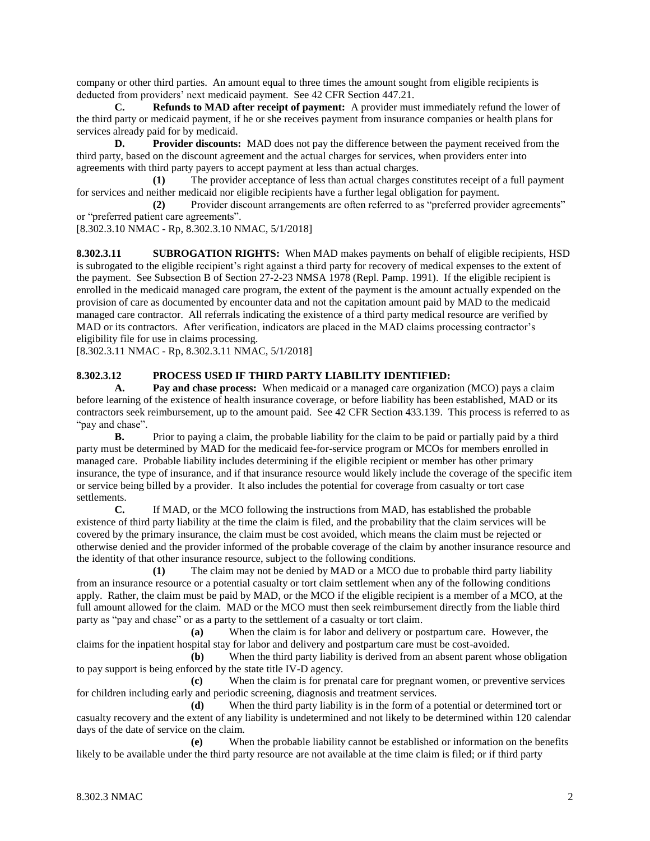company or other third parties. An amount equal to three times the amount sought from eligible recipients is deducted from providers' next medicaid payment. See 42 CFR Section 447.21.

**C. Refunds to MAD after receipt of payment:** A provider must immediately refund the lower of the third party or medicaid payment, if he or she receives payment from insurance companies or health plans for services already paid for by medicaid.

**D. Provider discounts:** MAD does not pay the difference between the payment received from the third party, based on the discount agreement and the actual charges for services, when providers enter into agreements with third party payers to accept payment at less than actual charges.

**(1)** The provider acceptance of less than actual charges constitutes receipt of a full payment for services and neither medicaid nor eligible recipients have a further legal obligation for payment.

**(2)** Provider discount arrangements are often referred to as "preferred provider agreements" or "preferred patient care agreements".

[8.302.3.10 NMAC - Rp, 8.302.3.10 NMAC, 5/1/2018]

**8.302.3.11 SUBROGATION RIGHTS:** When MAD makes payments on behalf of eligible recipients, HSD is subrogated to the eligible recipient's right against a third party for recovery of medical expenses to the extent of the payment. See Subsection B of Section 27-2-23 NMSA 1978 (Repl. Pamp. 1991). If the eligible recipient is enrolled in the medicaid managed care program, the extent of the payment is the amount actually expended on the provision of care as documented by encounter data and not the capitation amount paid by MAD to the medicaid managed care contractor. All referrals indicating the existence of a third party medical resource are verified by MAD or its contractors. After verification, indicators are placed in the MAD claims processing contractor's eligibility file for use in claims processing.

[8.302.3.11 NMAC - Rp, 8.302.3.11 NMAC, 5/1/2018]

## **8.302.3.12 PROCESS USED IF THIRD PARTY LIABILITY IDENTIFIED:**

**A. Pay and chase process:** When medicaid or a managed care organization (MCO) pays a claim before learning of the existence of health insurance coverage, or before liability has been established, MAD or its contractors seek reimbursement, up to the amount paid. See 42 CFR Section 433.139. This process is referred to as "pay and chase".

**B.** Prior to paying a claim, the probable liability for the claim to be paid or partially paid by a third party must be determined by MAD for the medicaid fee-for-service program or MCOs for members enrolled in managed care. Probable liability includes determining if the eligible recipient or member has other primary insurance, the type of insurance, and if that insurance resource would likely include the coverage of the specific item or service being billed by a provider. It also includes the potential for coverage from casualty or tort case settlements.

**C.** If MAD, or the MCO following the instructions from MAD, has established the probable existence of third party liability at the time the claim is filed, and the probability that the claim services will be covered by the primary insurance, the claim must be cost avoided, which means the claim must be rejected or otherwise denied and the provider informed of the probable coverage of the claim by another insurance resource and the identity of that other insurance resource, subject to the following conditions.

**(1)** The claim may not be denied by MAD or a MCO due to probable third party liability from an insurance resource or a potential casualty or tort claim settlement when any of the following conditions apply. Rather, the claim must be paid by MAD, or the MCO if the eligible recipient is a member of a MCO, at the full amount allowed for the claim. MAD or the MCO must then seek reimbursement directly from the liable third party as "pay and chase" or as a party to the settlement of a casualty or tort claim.

**(a)** When the claim is for labor and delivery or postpartum care. However, the claims for the inpatient hospital stay for labor and delivery and postpartum care must be cost-avoided.

**(b)** When the third party liability is derived from an absent parent whose obligation to pay support is being enforced by the state title IV-D agency.

**(c)** When the claim is for prenatal care for pregnant women, or preventive services for children including early and periodic screening, diagnosis and treatment services.

**(d)** When the third party liability is in the form of a potential or determined tort or casualty recovery and the extent of any liability is undetermined and not likely to be determined within 120 calendar days of the date of service on the claim.

**(e)** When the probable liability cannot be established or information on the benefits likely to be available under the third party resource are not available at the time claim is filed; or if third party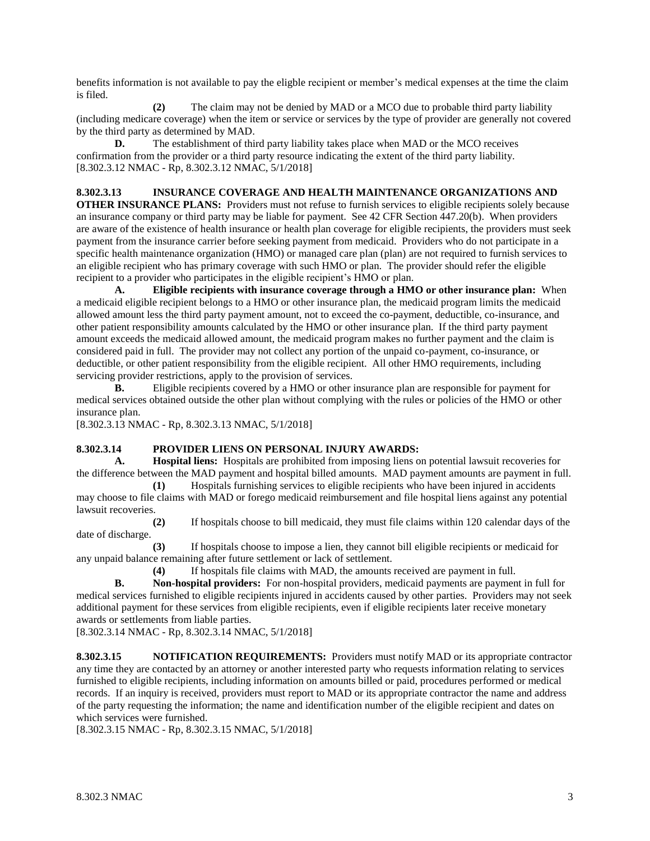benefits information is not available to pay the eligble recipient or member's medical expenses at the time the claim is filed.

**(2)** The claim may not be denied by MAD or a MCO due to probable third party liability (including medicare coverage) when the item or service or services by the type of provider are generally not covered by the third party as determined by MAD.

**D.** The establishment of third party liability takes place when MAD or the MCO receives confirmation from the provider or a third party resource indicating the extent of the third party liability. [8.302.3.12 NMAC - Rp, 8.302.3.12 NMAC, 5/1/2018]

# **8.302.3.13 INSURANCE COVERAGE AND HEALTH MAINTENANCE ORGANIZATIONS AND**

**OTHER INSURANCE PLANS:** Providers must not refuse to furnish services to eligible recipients solely because an insurance company or third party may be liable for payment. See 42 CFR Section 447.20(b). When providers are aware of the existence of health insurance or health plan coverage for eligible recipients, the providers must seek payment from the insurance carrier before seeking payment from medicaid. Providers who do not participate in a specific health maintenance organization (HMO) or managed care plan (plan) are not required to furnish services to an eligible recipient who has primary coverage with such HMO or plan. The provider should refer the eligible recipient to a provider who participates in the eligible recipient's HMO or plan.

**A. Eligible recipients with insurance coverage through a HMO or other insurance plan:** When a medicaid eligible recipient belongs to a HMO or other insurance plan, the medicaid program limits the medicaid allowed amount less the third party payment amount, not to exceed the co-payment, deductible, co-insurance, and other patient responsibility amounts calculated by the HMO or other insurance plan. If the third party payment amount exceeds the medicaid allowed amount, the medicaid program makes no further payment and the claim is considered paid in full. The provider may not collect any portion of the unpaid co-payment, co-insurance, or deductible, or other patient responsibility from the eligible recipient. All other HMO requirements, including servicing provider restrictions, apply to the provision of services.

**B.** Eligible recipients covered by a HMO or other insurance plan are responsible for payment for medical services obtained outside the other plan without complying with the rules or policies of the HMO or other insurance plan.

[8.302.3.13 NMAC - Rp, 8.302.3.13 NMAC, 5/1/2018]

## **8.302.3.14 PROVIDER LIENS ON PERSONAL INJURY AWARDS:**

**A. Hospital liens:** Hospitals are prohibited from imposing liens on potential lawsuit recoveries for the difference between the MAD payment and hospital billed amounts. MAD payment amounts are payment in full.

**(1)** Hospitals furnishing services to eligible recipients who have been injured in accidents may choose to file claims with MAD or forego medicaid reimbursement and file hospital liens against any potential lawsuit recoveries.

**(2)** If hospitals choose to bill medicaid, they must file claims within 120 calendar days of the date of discharge.

**(3)** If hospitals choose to impose a lien, they cannot bill eligible recipients or medicaid for any unpaid balance remaining after future settlement or lack of settlement.

**(4)** If hospitals file claims with MAD, the amounts received are payment in full.

**B. Non-hospital providers:** For non-hospital providers, medicaid payments are payment in full for medical services furnished to eligible recipients injured in accidents caused by other parties. Providers may not seek additional payment for these services from eligible recipients, even if eligible recipients later receive monetary awards or settlements from liable parties.

[8.302.3.14 NMAC - Rp, 8.302.3.14 NMAC, 5/1/2018]

**8.302.3.15 NOTIFICATION REQUIREMENTS:** Providers must notify MAD or its appropriate contractor any time they are contacted by an attorney or another interested party who requests information relating to services furnished to eligible recipients, including information on amounts billed or paid, procedures performed or medical records. If an inquiry is received, providers must report to MAD or its appropriate contractor the name and address of the party requesting the information; the name and identification number of the eligible recipient and dates on which services were furnished.

[8.302.3.15 NMAC - Rp, 8.302.3.15 NMAC, 5/1/2018]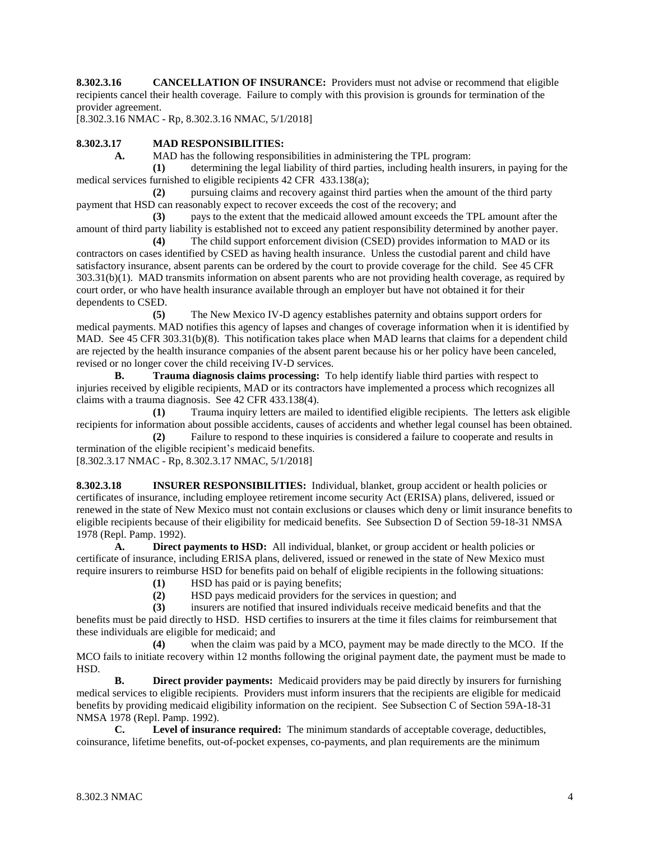**8.302.3.16 CANCELLATION OF INSURANCE:** Providers must not advise or recommend that eligible recipients cancel their health coverage. Failure to comply with this provision is grounds for termination of the provider agreement.

[8.302.3.16 NMAC - Rp, 8.302.3.16 NMAC, 5/1/2018]

## **8.302.3.17 MAD RESPONSIBILITIES:**

**A.** MAD has the following responsibilities in administering the TPL program:

**(1)** determining the legal liability of third parties, including health insurers, in paying for the medical services furnished to eligible recipients 42 CFR 433.138(a);

**(2)** pursuing claims and recovery against third parties when the amount of the third party payment that HSD can reasonably expect to recover exceeds the cost of the recovery; and

**(3)** pays to the extent that the medicaid allowed amount exceeds the TPL amount after the amount of third party liability is established not to exceed any patient responsibility determined by another payer.

**(4)** The child support enforcement division (CSED) provides information to MAD or its contractors on cases identified by CSED as having health insurance. Unless the custodial parent and child have satisfactory insurance, absent parents can be ordered by the court to provide coverage for the child. See 45 CFR 303.31(b)(1). MAD transmits information on absent parents who are not providing health coverage, as required by court order, or who have health insurance available through an employer but have not obtained it for their dependents to CSED.

**(5)** The New Mexico IV-D agency establishes paternity and obtains support orders for medical payments. MAD notifies this agency of lapses and changes of coverage information when it is identified by MAD. See 45 CFR 303.31(b)(8). This notification takes place when MAD learns that claims for a dependent child are rejected by the health insurance companies of the absent parent because his or her policy have been canceled, revised or no longer cover the child receiving IV-D services.

**B. Trauma diagnosis claims processing:** To help identify liable third parties with respect to injuries received by eligible recipients, MAD or its contractors have implemented a process which recognizes all claims with a trauma diagnosis. See 42 CFR 433.138(4).

**(1)** Trauma inquiry letters are mailed to identified eligible recipients. The letters ask eligible recipients for information about possible accidents, causes of accidents and whether legal counsel has been obtained.

**(2)** Failure to respond to these inquiries is considered a failure to cooperate and results in termination of the eligible recipient's medicaid benefits.

[8.302.3.17 NMAC - Rp, 8.302.3.17 NMAC, 5/1/2018]

**8.302.3.18 INSURER RESPONSIBILITIES:** Individual, blanket, group accident or health policies or certificates of insurance, including employee retirement income security Act (ERISA) plans, delivered, issued or renewed in the state of New Mexico must not contain exclusions or clauses which deny or limit insurance benefits to eligible recipients because of their eligibility for medicaid benefits. See Subsection D of Section 59-18-31 NMSA 1978 (Repl. Pamp. 1992).

**A. Direct payments to HSD:** All individual, blanket, or group accident or health policies or certificate of insurance, including ERISA plans, delivered, issued or renewed in the state of New Mexico must require insurers to reimburse HSD for benefits paid on behalf of eligible recipients in the following situations:

- **(1)** HSD has paid or is paying benefits;
- **(2)** HSD pays medicaid providers for the services in question; and

**(3)** insurers are notified that insured individuals receive medicaid benefits and that the benefits must be paid directly to HSD. HSD certifies to insurers at the time it files claims for reimbursement that these individuals are eligible for medicaid; and

**(4)** when the claim was paid by a MCO, payment may be made directly to the MCO. If the MCO fails to initiate recovery within 12 months following the original payment date, the payment must be made to HSD.

**B. Direct provider payments:** Medicaid providers may be paid directly by insurers for furnishing medical services to eligible recipients. Providers must inform insurers that the recipients are eligible for medicaid benefits by providing medicaid eligibility information on the recipient. See Subsection C of Section 59A-18-31 NMSA 1978 (Repl. Pamp. 1992).

**C. Level of insurance required:** The minimum standards of acceptable coverage, deductibles, coinsurance, lifetime benefits, out-of-pocket expenses, co-payments, and plan requirements are the minimum